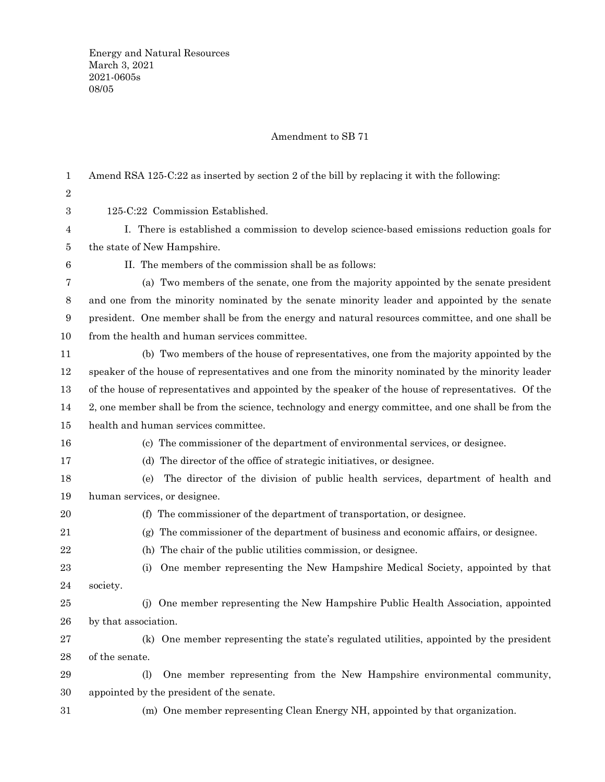## Amendment to SB 71

| 1      | Amend RSA 125-C:22 as inserted by section 2 of the bill by replacing it with the following:             |
|--------|---------------------------------------------------------------------------------------------------------|
| 2      |                                                                                                         |
| 3      | 125-C:22 Commission Established.                                                                        |
| 4      | I. There is established a commission to develop science-based emissions reduction goals for             |
| 5      | the state of New Hampshire.                                                                             |
| $\,6$  | II. The members of the commission shall be as follows:                                                  |
| 7      | (a) Two members of the senate, one from the majority appointed by the senate president                  |
| 8      | and one from the minority nominated by the senate minority leader and appointed by the senate           |
| 9      | president. One member shall be from the energy and natural resources committee, and one shall be        |
| 10     | from the health and human services committee.                                                           |
| 11     | (b) Two members of the house of representatives, one from the majority appointed by the                 |
| 12     | speaker of the house of representatives and one from the minority nominated by the minority leader      |
| 13     | of the house of representatives and appointed by the speaker of the house of representatives. Of the    |
| 14     | 2, one member shall be from the science, technology and energy committee, and one shall be from the     |
| $15\,$ | health and human services committee.                                                                    |
| 16     | (c) The commissioner of the department of environmental services, or designee.                          |
| 17     | The director of the office of strategic initiatives, or designee.<br>(d)                                |
| 18     | The director of the division of public health services, department of health and<br>(e)                 |
| 19     | human services, or designee.                                                                            |
| 20     | The commissioner of the department of transportation, or designee.<br>(f)                               |
| 21     | The commissioner of the department of business and economic affairs, or designee.<br>(g)                |
| 22     | The chair of the public utilities commission, or designee.<br>(h)                                       |
| 23     | One member representing the New Hampshire Medical Society, appointed by that<br>(i)                     |
| 24     | society.                                                                                                |
| 25     | (j) One member representing the New Hampshire Public Health Association, appointed                      |
| 26     | by that association.                                                                                    |
| 27     | (k) One member representing the state's regulated utilities, appointed by the president                 |
| 28     | of the senate.                                                                                          |
| 29     | One member representing from the New Hampshire environmental community,<br>$\left( \frac{1}{2} \right)$ |
| 30     | appointed by the president of the senate.                                                               |
| $31\,$ | (m) One member representing Clean Energy NH, appointed by that organization.                            |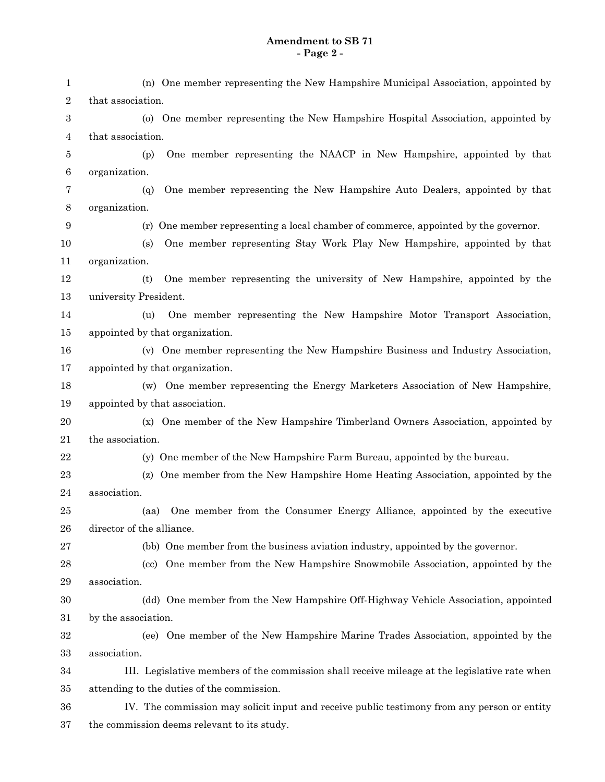## **Amendment to SB 71 - Page 2 -**

| 1                | (n) One member representing the New Hampshire Municipal Association, appointed by             |
|------------------|-----------------------------------------------------------------------------------------------|
| 2                | that association.                                                                             |
| $\boldsymbol{3}$ | (o) One member representing the New Hampshire Hospital Association, appointed by              |
| 4                | that association.                                                                             |
| 5                | One member representing the NAACP in New Hampshire, appointed by that<br>(p)                  |
| $\,6$            | organization.                                                                                 |
| 7                | One member representing the New Hampshire Auto Dealers, appointed by that<br>(q)              |
| 8                | organization.                                                                                 |
| 9                | (r) One member representing a local chamber of commerce, appointed by the governor.           |
| 10               | One member representing Stay Work Play New Hampshire, appointed by that<br>(s)                |
| 11               | organization.                                                                                 |
| 12               | One member representing the university of New Hampshire, appointed by the<br>(t)              |
| 13               | university President.                                                                         |
| 14               | One member representing the New Hampshire Motor Transport Association,<br>(u)                 |
| 15               | appointed by that organization.                                                               |
| 16               | (v) One member representing the New Hampshire Business and Industry Association,              |
| 17               | appointed by that organization.                                                               |
| 18               | (w) One member representing the Energy Marketers Association of New Hampshire,                |
| 19               | appointed by that association.                                                                |
| 20               | (x) One member of the New Hampshire Timberland Owners Association, appointed by               |
| 21               | the association.                                                                              |
| $22\,$           | (y) One member of the New Hampshire Farm Bureau, appointed by the bureau.                     |
| 23               | One member from the New Hampshire Home Heating Association, appointed by the<br>(z)           |
| 24               | association.                                                                                  |
| 25               | One member from the Consumer Energy Alliance, appointed by the executive<br>(aa)              |
| 26               | director of the alliance.                                                                     |
| 27               | (bb) One member from the business aviation industry, appointed by the governor.               |
| 28               | (cc) One member from the New Hampshire Snowmobile Association, appointed by the               |
| 29               | association.                                                                                  |
| 30               | (dd) One member from the New Hampshire Off-Highway Vehicle Association, appointed             |
| 31               | by the association.                                                                           |
| 32               | (ee) One member of the New Hampshire Marine Trades Association, appointed by the              |
| 33               | association.                                                                                  |
| 34               | III. Legislative members of the commission shall receive mileage at the legislative rate when |
| 35               | attending to the duties of the commission.                                                    |
| 36               | IV. The commission may solicit input and receive public testimony from any person or entity   |
| 37               | the commission deems relevant to its study.                                                   |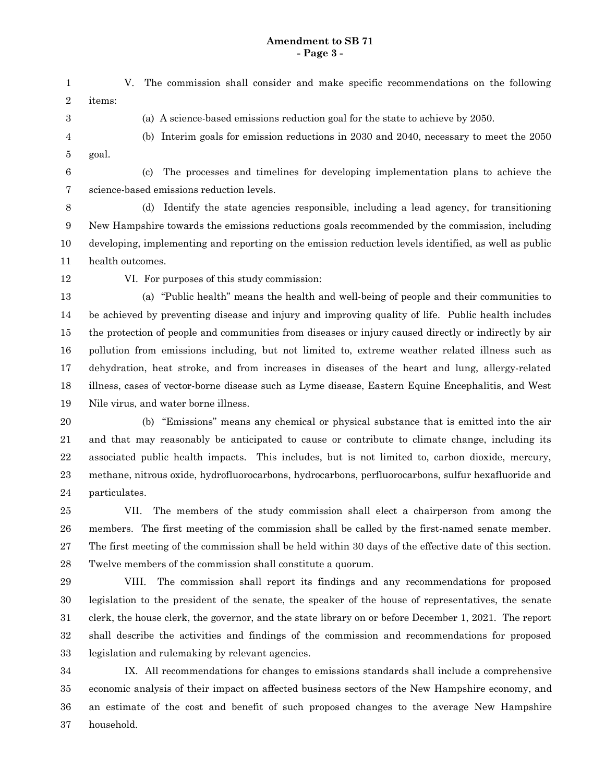## **Amendment to SB 71 - Page 3 -**

V. The commission shall consider and make specific recommendations on the following items: (a) A science-based emissions reduction goal for the state to achieve by 2050. (b) Interim goals for emission reductions in 2030 and 2040, necessary to meet the 2050 goal. (c) The processes and timelines for developing implementation plans to achieve the science-based emissions reduction levels. (d) Identify the state agencies responsible, including a lead agency, for transitioning New Hampshire towards the emissions reductions goals recommended by the commission, including developing, implementing and reporting on the emission reduction levels identified, as well as public 1 2 3 4 5 6 7 8 9 10

health outcomes. 11

12

VI. For purposes of this study commission:

(a) "Public health" means the health and well-being of people and their communities to be achieved by preventing disease and injury and improving quality of life. Public health includes the protection of people and communities from diseases or injury caused directly or indirectly by air pollution from emissions including, but not limited to, extreme weather related illness such as dehydration, heat stroke, and from increases in diseases of the heart and lung, allergy-related illness, cases of vector-borne disease such as Lyme disease, Eastern Equine Encephalitis, and West Nile virus, and water borne illness. 13 14 15 16 17 18 19

(b) "Emissions" means any chemical or physical substance that is emitted into the air and that may reasonably be anticipated to cause or contribute to climate change, including its associated public health impacts. This includes, but is not limited to, carbon dioxide, mercury, methane, nitrous oxide, hydrofluorocarbons, hydrocarbons, perfluorocarbons, sulfur hexafluoride and particulates. 20 21 22 23 24

VII. The members of the study commission shall elect a chairperson from among the members. The first meeting of the commission shall be called by the first-named senate member. The first meeting of the commission shall be held within 30 days of the effective date of this section. Twelve members of the commission shall constitute a quorum. 25 26 27 28

VIII. The commission shall report its findings and any recommendations for proposed legislation to the president of the senate, the speaker of the house of representatives, the senate clerk, the house clerk, the governor, and the state library on or before December 1, 2021. The report shall describe the activities and findings of the commission and recommendations for proposed legislation and rulemaking by relevant agencies. 29 30 31 32 33

IX. All recommendations for changes to emissions standards shall include a comprehensive economic analysis of their impact on affected business sectors of the New Hampshire economy, and an estimate of the cost and benefit of such proposed changes to the average New Hampshire household. 34 35 36 37